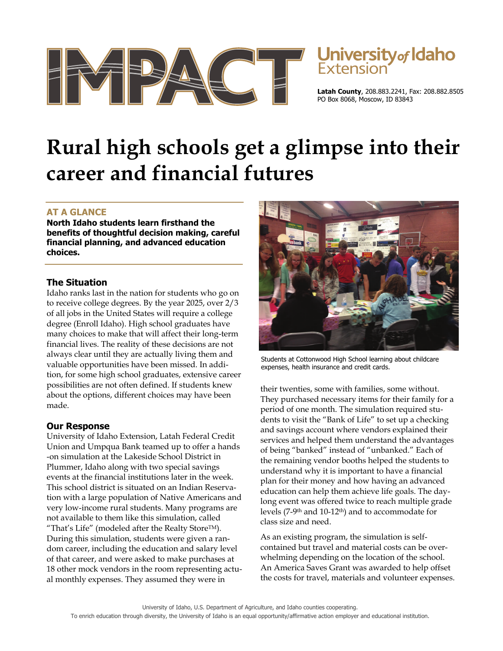

# **University of Idaho**

**Latah County**, 208.883.2241, Fax: 208.882.8505 PO Box 8068, Moscow, ID 83843

## **Rural high schools get a glimpse into their career and financial futures**

### **AT A GLANCE**

**North Idaho students learn firsthand the benefits of thoughtful decision making, careful financial planning, and advanced education choices.** 

#### **The Situation**

Idaho ranks last in the nation for students who go on to receive college degrees. By the year 2025, over 2/3 of all jobs in the United States will require a college degree (Enroll Idaho). High school graduates have many choices to make that will affect their long-term financial lives. The reality of these decisions are not always clear until they are actually living them and valuable opportunities have been missed. In addition, for some high school graduates, extensive career possibilities are not often defined. If students knew about the options, different choices may have been made.

#### **Our Response**

University of Idaho Extension, Latah Federal Credit Union and Umpqua Bank teamed up to offer a hands -on simulation at the Lakeside School District in Plummer, Idaho along with two special savings events at the financial institutions later in the week. This school district is situated on an Indian Reservation with a large population of Native Americans and very low-income rural students. Many programs are not available to them like this simulation, called "That's Life" (modeled after the Realty StoreTM). During this simulation, students were given a random career, including the education and salary level of that career, and were asked to make purchases at 18 other mock vendors in the room representing actual monthly expenses. They assumed they were in



Students at Cottonwood High School learning about childcare expenses, health insurance and credit cards.

their twenties, some with families, some without. They purchased necessary items for their family for a period of one month. The simulation required students to visit the "Bank of Life" to set up a checking and savings account where vendors explained their services and helped them understand the advantages of being "banked" instead of "unbanked." Each of the remaining vendor booths helped the students to understand why it is important to have a financial plan for their money and how having an advanced education can help them achieve life goals. The daylong event was offered twice to reach multiple grade levels (7-9th and 10-12th) and to accommodate for class size and need.

As an existing program, the simulation is selfcontained but travel and material costs can be overwhelming depending on the location of the school. An America Saves Grant was awarded to help offset the costs for travel, materials and volunteer expenses.